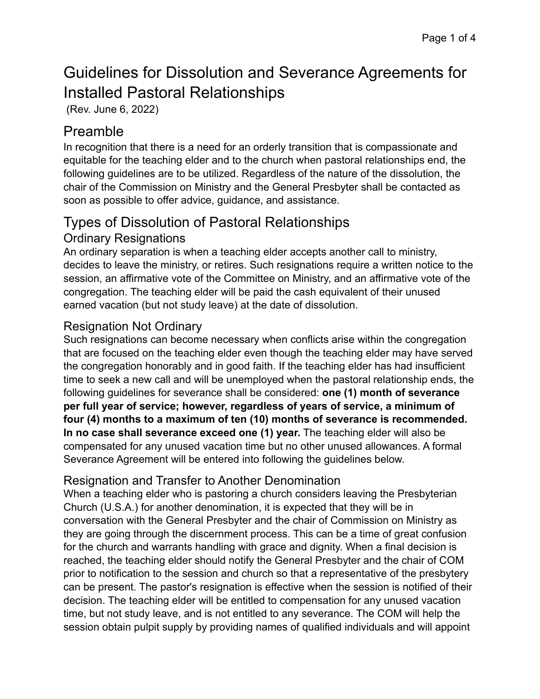# Guidelines for Dissolution and Severance Agreements for Installed Pastoral Relationships

(Rev. June 6, 2022)

# Preamble

In recognition that there is a need for an orderly transition that is compassionate and equitable for the teaching elder and to the church when pastoral relationships end, the following guidelines are to be utilized. Regardless of the nature of the dissolution, the chair of the Commission on Ministry and the General Presbyter shall be contacted as soon as possible to offer advice, guidance, and assistance.

# Types of Dissolution of Pastoral Relationships

## Ordinary Resignations

An ordinary separation is when a teaching elder accepts another call to ministry, decides to leave the ministry, or retires. Such resignations require a written notice to the session, an affirmative vote of the Committee on Ministry, and an affirmative vote of the congregation. The teaching elder will be paid the cash equivalent of their unused earned vacation (but not study leave) at the date of dissolution.

## Resignation Not Ordinary

Such resignations can become necessary when conflicts arise within the congregation that are focused on the teaching elder even though the teaching elder may have served the congregation honorably and in good faith. If the teaching elder has had insufficient time to seek a new call and will be unemployed when the pastoral relationship ends, the following guidelines for severance shall be considered: **one (1) month of severance per full year of service; however, regardless of years of service, a minimum of four (4) months to a maximum of ten (10) months of severance is recommended. In no case shall severance exceed one (1) year.** The teaching elder will also be compensated for any unused vacation time but no other unused allowances. A formal Severance Agreement will be entered into following the guidelines below.

## Resignation and Transfer to Another Denomination

When a teaching elder who is pastoring a church considers leaving the Presbyterian Church (U.S.A.) for another denomination, it is expected that they will be in conversation with the General Presbyter and the chair of Commission on Ministry as they are going through the discernment process. This can be a time of great confusion for the church and warrants handling with grace and dignity. When a final decision is reached, the teaching elder should notify the General Presbyter and the chair of COM prior to notification to the session and church so that a representative of the presbytery can be present. The pastor's resignation is effective when the session is notified of their decision. The teaching elder will be entitled to compensation for any unused vacation time, but not study leave, and is not entitled to any severance. The COM will help the session obtain pulpit supply by providing names of qualified individuals and will appoint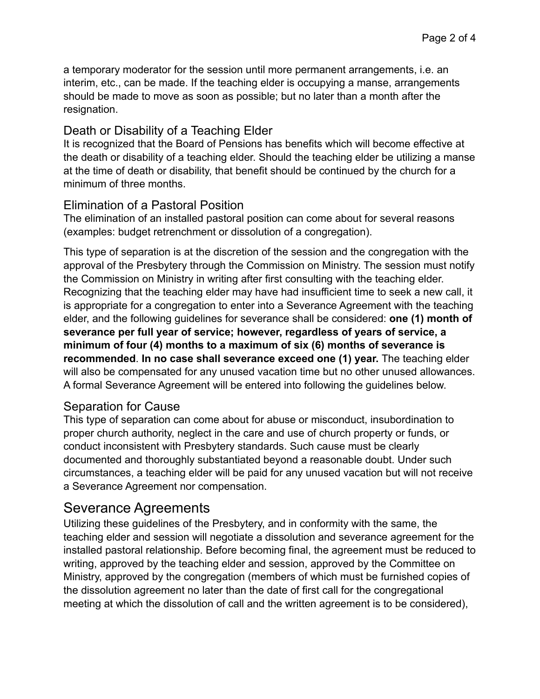a temporary moderator for the session until more permanent arrangements, i.e. an interim, etc., can be made. If the teaching elder is occupying a manse, arrangements should be made to move as soon as possible; but no later than a month after the resignation.

#### Death or Disability of a Teaching Elder

It is recognized that the Board of Pensions has benefits which will become effective at the death or disability of a teaching elder. Should the teaching elder be utilizing a manse at the time of death or disability, that benefit should be continued by the church for a minimum of three months.

#### Elimination of a Pastoral Position

The elimination of an installed pastoral position can come about for several reasons (examples: budget retrenchment or dissolution of a congregation).

This type of separation is at the discretion of the session and the congregation with the approval of the Presbytery through the Commission on Ministry. The session must notify the Commission on Ministry in writing after first consulting with the teaching elder. Recognizing that the teaching elder may have had insufficient time to seek a new call, it is appropriate for a congregation to enter into a Severance Agreement with the teaching elder, and the following guidelines for severance shall be considered: **one (1) month of severance per full year of service; however, regardless of years of service, a minimum of four (4) months to a maximum of six (6) months of severance is recommended**. **In no case shall severance exceed one (1) year.** The teaching elder will also be compensated for any unused vacation time but no other unused allowances. A formal Severance Agreement will be entered into following the guidelines below.

#### Separation for Cause

This type of separation can come about for abuse or misconduct, insubordination to proper church authority, neglect in the care and use of church property or funds, or conduct inconsistent with Presbytery standards. Such cause must be clearly documented and thoroughly substantiated beyond a reasonable doubt. Under such circumstances, a teaching elder will be paid for any unused vacation but will not receive a Severance Agreement nor compensation.

## Severance Agreements

Utilizing these guidelines of the Presbytery, and in conformity with the same, the teaching elder and session will negotiate a dissolution and severance agreement for the installed pastoral relationship. Before becoming final, the agreement must be reduced to writing, approved by the teaching elder and session, approved by the Committee on Ministry, approved by the congregation (members of which must be furnished copies of the dissolution agreement no later than the date of first call for the congregational meeting at which the dissolution of call and the written agreement is to be considered),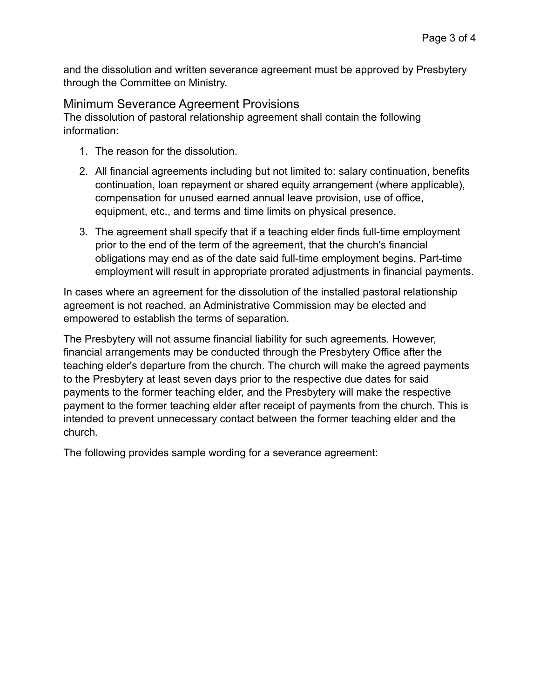and the dissolution and written severance agreement must be approved by Presbytery through the Committee on Ministry.

Minimum Severance Agreement Provisions

The dissolution of pastoral relationship agreement shall contain the following information:

- 1. The reason for the dissolution.
- 2. All financial agreements including but not limited to: salary continuation, benefits continuation, loan repayment or shared equity arrangement (where applicable), compensation for unused earned annual leave provision, use of office, equipment, etc., and terms and time limits on physical presence.
- 3. The agreement shall specify that if a teaching elder finds full-time employment prior to the end of the term of the agreement, that the church's financial obligations may end as of the date said full-time employment begins. Part-time employment will result in appropriate prorated adjustments in financial payments.

In cases where an agreement for the dissolution of the installed pastoral relationship agreement is not reached, an Administrative Commission may be elected and empowered to establish the terms of separation.

The Presbytery will not assume financial liability for such agreements. However, financial arrangements may be conducted through the Presbytery Office after the teaching elder's departure from the church. The church will make the agreed payments to the Presbytery at least seven days prior to the respective due dates for said payments to the former teaching elder, and the Presbytery will make the respective payment to the former teaching elder after receipt of payments from the church. This is intended to prevent unnecessary contact between the former teaching elder and the church.

The following provides sample wording for a severance agreement: